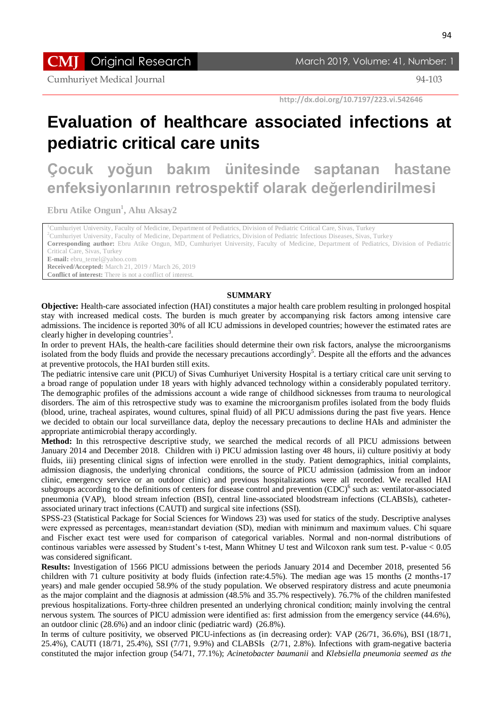**CMJ** Original Research March 2019, Volume: 41, Number: 1

Cumhuriyet Medical Journal 94-103

 **http://dx.doi.org/10.7197/223.vi.542646**

# **Evaluation of healthcare associated infections at pediatric critical care units**

**Çocuk yoğun bakım ünitesinde saptanan hastane enfeksiyonlarının retrospektif olarak değerlendirilmesi**

**Ebru Atike Ongun<sup>1</sup> , Ahu Aksay2**

<sup>1</sup>Cumhuriyet University, Faculty of Medicine, Department of Pediatrics, Division of Pediatric Critical Care, Sivas, Turkey

<sup>2</sup>Cumhuriyet University, Faculty of Medicine, Department of Pediatrics, Division of Pediatric Infectious Diseases, Sivas, Turkey

**Corresponding author:** Ebru Atike Ongun, MD, Cumhuriyet University, Faculty of Medicine, Department of Pediatrics, Division of Pediatric Critical Care, Sivas, Turkey

**E-mail:** ebru\_temel@yahoo.com

**Received/Accepted:** March 21, 2019 / March 26, 2019

**Conflict of interest:** There is not a conflict of interest.

#### **SUMMARY**

**Objective:** Health-care associated infection (HAI) constitutes a major health care problem resulting in prolonged hospital stay with increased medical costs. The burden is much greater by accompanying risk factors among intensive care admissions. The incidence is reported 30% of all ICU admissions in developed countries; however the estimated rates are clearly higher in developing countries<sup>3</sup>.

In order to prevent HAIs, the health-care facilities should determine their own risk factors, analyse the microorganisms isolated from the body fluids and provide the necessary precautions accordingly<sup>5</sup>. Despite all the efforts and the advances at preventive protocols, the HAI burden still exits.

The pediatric intensive care unit (PICU) of Sivas Cumhuriyet University Hospital is a tertiary critical care unit serving to a broad range of population under 18 years with highly advanced technology within a considerably populated territory. The demographic profiles of the admissions account a wide range of childhood sicknesses from trauma to neurological disorders. The aim of this retrospective study was to examine the microorganism profiles isolated from the body fluids (blood, urine, tracheal aspirates, wound cultures, spinal fluid) of all PICU admissions during the past five years. Hence we decided to obtain our local surveillance data, deploy the necessary precautions to decline HAIs and administer the appropriate antimicrobial therapy accordingly.

**Method:** In this retrospective descriptive study, we searched the medical records of all PICU admissions between January 2014 and December 2018. Children with i) PICU admission lasting over 48 hours, ii) culture positiviy at body fluids, iii) presenting clinical signs of infection were enrolled in the study. Patient demographics, initial complaints, admission diagnosis, the underlying chronical conditions, the source of PICU admission (admission from an indoor clinic, emergency service or an outdoor clinic) and previous hospitalizations were all recorded. We recalled HAI subgroups according to the definitions of centers for disease control and prevention (CDC)<sup>6</sup> such as: ventilator-associated pneumonia (VAP), blood stream infection (BSI), central line-associated bloodstream infections (CLABSIs), catheterassociated urinary tract infections (CAUTI) and surgical site infections (SSI).

SPSS-23 (Statistical Package for Social Sciences for Windows 23) was used for statics of the study. Descriptive analyses were expressed as percentages, mean±standart deviation (SD), median with minimum and maximum values. Chi square and Fischer exact test were used for comparison of categorical variables. Normal and non-normal distributions of continous variables were assessed by Student"s t-test, Mann Whitney U test and Wilcoxon rank sum test. P-value < 0.05 was considered significant.

**Results:** Investigation of 1566 PICU admissions between the periods January 2014 and December 2018, presented 56 children with 71 culture positivity at body fluids (infection rate:4.5%). The median age was 15 months (2 months-17 years) and male gender occupied 58.9% of the study population. We observed respiratory distress and acute pneumonia as the major complaint and the diagnosis at admission (48.5% and 35.7% respectively). 76.7% of the children manifested previous hospitalizations. Forty-three children presented an underlying chronical condition; mainly involving the central nervous system. The sources of PICU admission were identified as: first admission from the emergency service (44.6%), an outdoor clinic (28.6%) and an indoor clinic (pediatric ward) (26.8%).

In terms of culture positivity, we observed PICU-infections as (in decreasing order): VAP (26/71, 36.6%), BSI (18/71, 25.4%), CAUTI (18/71, 25.4%), SSI (7/71, 9.9%) and CLABSIs (2/71, 2.8%). Infections with gram-negative bacteria constituted the major infection group (54/71, 77.1%); *Acinetobacter baumanii* and *Klebsiella pneumonia seemed as the*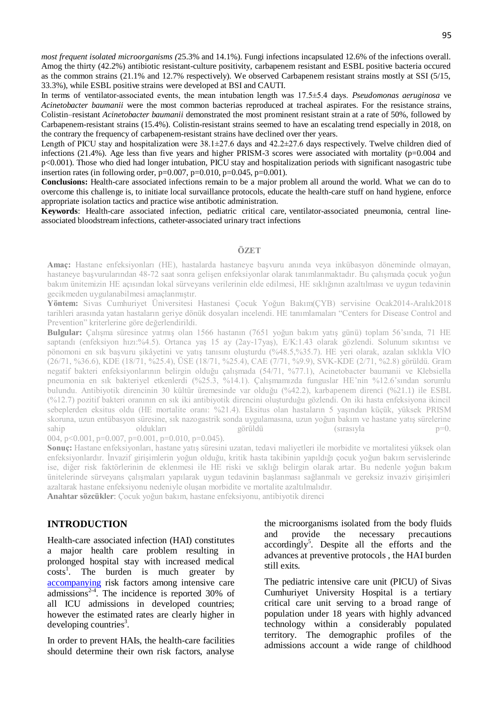*most frequent isolated microorganisms (*25.3% and 14.1%). Fungi infections incapsulated 12.6% of the infections overall. Amog the thirty (42.2%) antibiotic resistant-culture positivity, carbapenem resistant and ESBL positive bacteria occured as the common strains (21.1% and 12.7% respectively). We observed Carbapenem resistant strains mostly at SSI (5/15, 33.3%), while ESBL positive strains were developed at BSI and CAUTI.

In terms of ventilator-associated events, the mean intubation length was 17.5±5.4 days. *Pseudomonas aeruginosa* ve *Acinetobacter baumanii* were the most common bacterias reproduced at tracheal aspirates. For the resistance strains, Colistin–resistant *Acinetobacter baumanii* demonstrated the most prominent resistant strain at a rate of 50%, followed by Carbapenem-resistant strains (15.4%). Colistin-resistant strains seemed to have an escalating trend especially in 2018, on the contrary the frequency of carbapenem-resistant strains have declined over ther years.

Length of PICU stay and hospitalization were  $38.1 \pm 27.6$  days and  $42.2 \pm 27.6$  days respectively. Twelve children died of infections (21.4%). Age less than five years and higher PRISM-3 scores were associated with mortality ( $p=0.004$  and p<0.001). Those who died had longer intubation, PICU stay and hospitalization periods with significant nasogastric tube insertion rates (in following order, p=0.007, p=0.010, p=0.045, p=0.001).

**Conclusions:** Health-care associated infections remain to be a major problem all around the world. What we can do to overcome this challenge is, to initiate local survaillance protocols, educate the health-care stuff on hand hygiene, enforce appropriate isolation tactics and practice wise antibotic administration.

**Keywords**: Health-care associated infection, pediatric critical care, ventilator-associated pneumonia, central lineassociated bloodstream infections, catheter-associated urinary tract infections

#### **ÖZET**

**Amaç:** Hastane enfeksiyonları (HE), hastalarda hastaneye başvuru anında veya inkübasyon döneminde olmayan, hastaneye başvurularından 48-72 saat sonra gelişen enfeksiyonlar olarak tanımlanmaktadır. Bu çalışmada çocuk yoğun bakım ünitemizin HE açısından lokal sürveyans verilerinin elde edilmesi, HE sıklığının azaltılması ve uygun tedavinin gecikmeden uygulanabilmesi amaçlanmıştır.

**Yöntem:** Sivas Cumhuriyet Üniversitesi Hastanesi Çocuk Yoğun Bakım(ÇYB) servisine Ocak2014-Aralık2018 tarihleri arasında yatan hastaların geriye dönük dosyaları incelendi. HE tanımlamaları "Centers for Disease Control and Prevention" kriterlerine göre değerlendirildi.

**Bulgular:** Çalışma süresince yatmış olan 1566 hastanın (7651 yoğun bakım yatış günü) toplam 56"sında, 71 HE saptandı (enfeksiyon hızı:%4.5). Ortanca yaş 15 ay (2ay-17yaş), E/K:1.43 olarak gözlendi. Solunum sıkıntısı ve pönomoni en sık başvuru şikâyetini ve yatış tanısını oluşturdu (%48.5,%35.7). HE yeri olarak, azalan sıklıkla VİO (26/71, %36.6), KDE (18/71, %25.4), ÜSE (18/71, %25.4), CAE (7/71, %9.9), SVK-KDE (2/71, %2.8) görüldü. Gram negatif bakteri enfeksiyonlarının belirgin olduğu çalışmada (54/71, %77.1), Acinetobacter baumanii ve Klebsiella pneumonia en sık bakteriyel etkenlerdi (%25.3, %14.1). Çalışmamızda funguslar HE"nin %12.6"sından sorumlu bulundu. Antibiyotik direncinin 30 kültür üremesinde var olduğu (%42.2), karbapenem direnci (%21.1) ile ESBL (%12.7) pozitif bakteri oranının en sık iki antibiyotik direncini oluşturduğu gözlendi. On iki hasta enfeksiyona ikincil sebeplerden eksitus oldu (HE mortalite oranı: %21.4). Eksitus olan hastaların 5 yaşından küçük, yüksek PRISM skoruna, uzun entübasyon süresine, sık nazogastrik sonda uygulamasına, uzun yoğun bakım ve hastane yatış sürelerine sahip oldukları görüldü (sırasıyla p=0. 004, p<0.001, p=0.007, p=0.001, p=0.010, p=0.045).

**Sonuç:** Hastane enfeksiyonları, hastane yatış süresini uzatan, tedavi maliyetleri ile morbidite ve mortalitesi yüksek olan enfeksiyonlardır. İnvazif girişimlerin yoğun olduğu, kritik hasta takibinin yapıldığı çocuk yoğun bakım servislerinde ise, diğer risk faktörlerinin de eklenmesi ile HE riski ve sıklığı belirgin olarak artar. Bu nedenle yoğun bakım ünitelerinde sürveyans çalışmaları yapılarak uygun tedavinin başlanması sağlanmalı ve gereksiz invaziv girişimleri azaltarak hastane enfeksiyonu nedeniyle oluşan morbidite ve mortalite azaltılmalıdır.

**Anahtar sözcükler**: Çocuk yoğun bakım, hastane enfeksiyonu, antibiyotik direnci

## **INTRODUCTION**

Health-care associated infection (HAI) constitutes a major health care problem resulting in prolonged hospital stay with increased medical  $costs<sup>1</sup>$ . The burden is much greater by [accompanying](https://tureng.com/tr/turkce-ingilizce/accompanying) risk factors among intensive care admissions<sup>2-4</sup>. The incidence is reported 30% of all ICU admissions in developed countries; however the estimated rates are clearly higher in developing countries<sup>3</sup>.

In order to prevent HAIs, the health-care facilities should determine their own risk factors, analyse

the microorganisms isolated from the body fluids and provide the necessary precautions accordingly<sup>5</sup>. Despite all the efforts and the advances at preventive protocols , the HAI burden still exits.

The pediatric intensive care unit (PICU) of Sivas Cumhuriyet University Hospital is a tertiary critical care unit serving to a broad range of population under 18 years with highly advanced technology within a considerably populated territory. The demographic profiles of the admissions account a wide range of childhood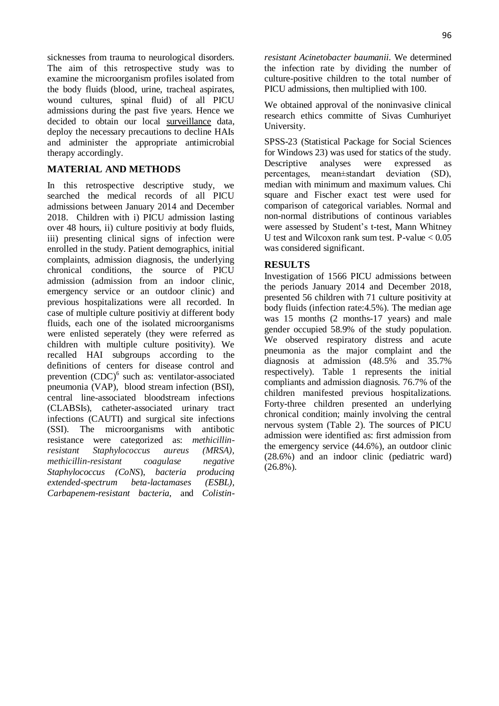sicknesses from trauma to neurological disorders. The aim of this retrospective study was to examine the microorganism profiles isolated from the body fluids (blood, urine, tracheal aspirates, wound cultures, spinal fluid) of all PICU admissions during the past five years. Hence we decided to obtain our local [surveillance](https://tureng.com/tr/turkce-ingilizce/surveillance) data, deploy the necessary precautions to decline HAIs and administer the appropriate antimicrobial therapy accordingly.

# **MATERIAL AND METHODS**

In this retrospective descriptive study, we searched the medical records of all PICU admissions between January 2014 and December 2018. Children with i) PICU admission lasting over 48 hours, ii) culture positiviy at body fluids, iii) presenting clinical signs of infection were enrolled in the study. Patient demographics, initial complaints, admission diagnosis, the underlying chronical conditions, the source of PICU admission (admission from an indoor clinic, emergency service or an outdoor clinic) and previous hospitalizations were all recorded. In case of multiple culture positiviy at different body fluids, each one of the isolated microorganisms were enlisted seperately (they were referred as children with multiple culture positivity). We recalled HAI subgroups according to the definitions of centers for disease control and prevention  $(CDC)^6$  such as: ventilator-associated pneumonia (VAP), blood stream infection (BSI), central line-associated bloodstream infections (CLABSIs), catheter-associated urinary tract infections (CAUTI) and surgical site infections (SSI). The microorganisms with antibotic resistance were categorized as: *methicillinresistant Staphylococcus aureus (MRSA), methicillin-resistant coagulase negative Staphylococcus (CoNS*), *bacteria producing extended-spectrum beta-lactamases (ESBL), Carbapenem-resistant bacteria*, and *Colistin-* *resistant Acinetobacter baumanii.* We determined the infection rate by dividing the number of culture-positive children to the total number of PICU admissions, then multiplied with 100.

We obtained approval of the noninvasive clinical research ethics committe of Sivas Cumhuriyet University.

SPSS-23 (Statistical Package for Social Sciences for Windows 23) was used for statics of the study. Descriptive analyses were expressed as percentages, mean±standart deviation (SD), median with minimum and maximum values. Chi square and Fischer exact test were used for comparison of categorical variables. Normal and non-normal distributions of continous variables were assessed by Student"s t-test, Mann Whitney U test and Wilcoxon rank sum test. P-value  $< 0.05$ was considered significant.

# **RESULTS**

Investigation of 1566 PICU admissions between the periods January 2014 and December 2018, presented 56 children with 71 culture positivity at body fluids (infection rate:4.5%). The median age was 15 months (2 months-17 years) and male gender occupied 58.9% of the study population. We observed respiratory distress and acute pneumonia as the major complaint and the diagnosis at admission (48.5% and 35.7% respectively). Table 1 represents the initial compliants and admission diagnosis. 76.7% of the children manifested previous hospitalizations. Forty-three children presented an underlying chronical condition; mainly involving the central nervous system (Table 2). The sources of PICU admission were identified as: first admission from the emergency service (44.6%), an outdoor clinic (28.6%) and an indoor clinic (pediatric ward)  $(26.8\%)$ .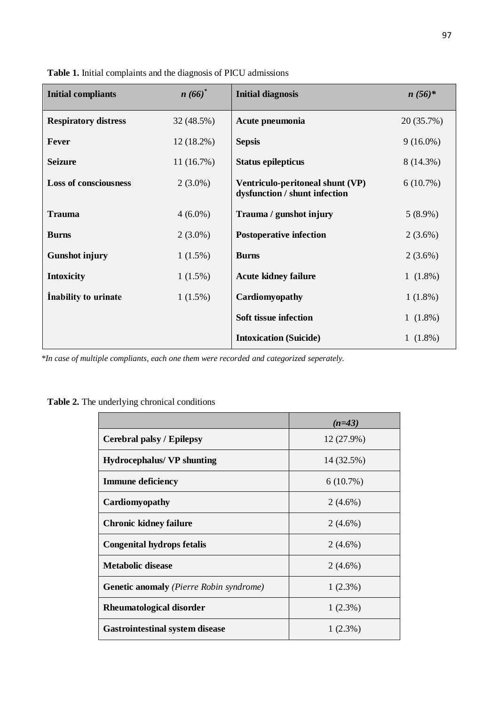| <b>Initial compliants</b>    | $n(66)^*$    | <b>Initial diagnosis</b>                                          | $n(56)*$    |
|------------------------------|--------------|-------------------------------------------------------------------|-------------|
| <b>Respiratory distress</b>  | 32 (48.5%)   | Acute pneumonia                                                   | 20 (35.7%)  |
| <b>Fever</b>                 | $12(18.2\%)$ | <b>Sepsis</b>                                                     | $9(16.0\%)$ |
| <b>Seizure</b>               | 11(16.7%)    | <b>Status epilepticus</b>                                         | 8 (14.3%)   |
| <b>Loss of consciousness</b> | $2(3.0\%)$   | Ventriculo-peritoneal shunt (VP)<br>dysfunction / shunt infection | $6(10.7\%)$ |
| <b>Trauma</b>                | $4(6.0\%)$   | Trauma / gunshot injury                                           | $5(8.9\%)$  |
| <b>Burns</b>                 | $2(3.0\%)$   | <b>Postoperative infection</b>                                    | $2(3.6\%)$  |
| <b>Gunshot injury</b>        | $1(1.5\%)$   | <b>Burns</b>                                                      | $2(3.6\%)$  |
| <b>Intoxicity</b>            | $1(1.5\%)$   | <b>Acute kidney failure</b>                                       | $1(1.8\%)$  |
| Inability to urinate         | $1(1.5\%)$   | Cardiomyopathy                                                    | $1(1.8\%)$  |
|                              |              | Soft tissue infection                                             | $1(1.8\%)$  |
|                              |              | <b>Intoxication (Suicide)</b>                                     | $1(1.8\%)$  |

**Table 1.** Initial complaints and the diagnosis of PICU admissions

*\*In case of multiple compliants, each one them were recorded and categorized seperately.*

**Table 2.** The underlying chronical conditions

|                                                | $(n=43)$   |
|------------------------------------------------|------------|
| Cerebral palsy / Epilepsy                      | 12 (27.9%) |
| <b>Hydrocephalus/ VP shunting</b>              | 14 (32.5%) |
| <b>Immune deficiency</b>                       | 6(10.7%)   |
| Cardiomyopathy                                 | $2(4.6\%)$ |
| <b>Chronic kidney failure</b>                  | $2(4.6\%)$ |
| <b>Congenital hydrops fetalis</b>              | $2(4.6\%)$ |
| <b>Metabolic disease</b>                       | $2(4.6\%)$ |
| <b>Genetic anomaly</b> (Pierre Robin syndrome) | $1(2.3\%)$ |
| Rheumatological disorder                       | $1(2.3\%)$ |
| <b>Gastrointestinal system disease</b>         | $1(2.3\%)$ |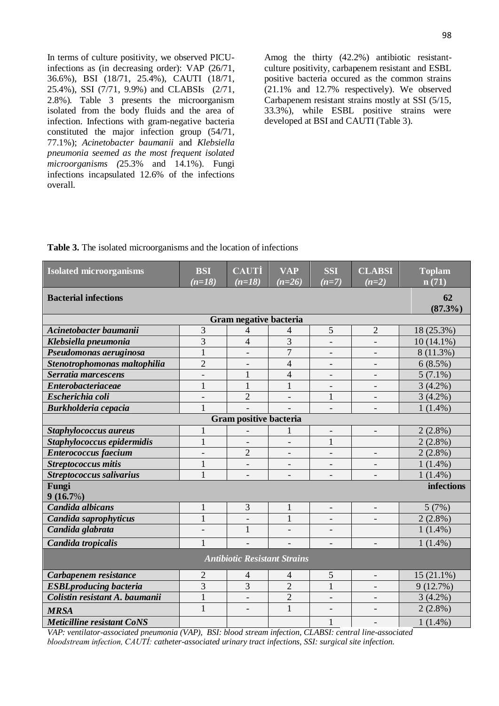In terms of culture positivity, we observed PICUinfections as (in decreasing order): VAP (26/71, 36.6%), BSI (18/71, 25.4%), CAUTI (18/71, 25.4%), SSI (7/71, 9.9%) and CLABSIs (2/71, 2.8%). Table 3 presents the microorganism isolated from the body fluids and the area of infection. Infections with gram-negative bacteria constituted the major infection group (54/71, 77.1%); *Acinetobacter baumanii* and *Klebsiella pneumonia seemed as the most frequent isolated microorganisms (*25.3% and 14.1%). Fungi infections incapsulated 12.6% of the infections overall.

Amog the thirty (42.2%) antibiotic resistantculture positivity, carbapenem resistant and ESBL positive bacteria occured as the common strains (21.1% and 12.7% respectively). We observed Carbapenem resistant strains mostly at SSI (5/15, 33.3%), while ESBL positive strains were developed at BSI and CAUTI (Table 3).

**Table 3.** The isolated microorganisms and the location of infections

| <b>Isolated microorganisms</b>      | <b>BSI</b>               | <b>CAUTI</b>             | <b>VAP</b>               | <b>SSI</b>               | <b>CLABSI</b>            | <b>Toplam</b> |  |
|-------------------------------------|--------------------------|--------------------------|--------------------------|--------------------------|--------------------------|---------------|--|
|                                     | $(n=18)$                 | $(n=18)$                 | $(n=26)$                 | $(n=7)$                  | $\overline{(n=2)}$       | n(71)         |  |
| <b>Bacterial infections</b><br>62   |                          |                          |                          |                          |                          | $(87.3\%)$    |  |
|                                     |                          | Gram negative bacteria   |                          |                          |                          |               |  |
| Acinetobacter baumanii              | 3                        | 4                        | 4                        | 5                        | $\overline{2}$           | 18 (25.3%)    |  |
| Klebsiella pneumonia                | 3                        | $\overline{4}$           | $\overline{3}$           |                          |                          | $10(14.1\%)$  |  |
| Pseudomonas aeruginosa              | $\mathbf{1}$             |                          | $\overline{7}$           | $\overline{\phantom{a}}$ |                          | 8 (11.3%)     |  |
| Stenotrophomonas maltophilia        | $\overline{2}$           | $\overline{\phantom{a}}$ | $\overline{4}$           | $\overline{\phantom{a}}$ | $\overline{\phantom{a}}$ | 6(8.5%)       |  |
| Serratia marcescens                 |                          | $\mathbf{1}$             | $\overline{4}$           |                          |                          | $5(7.1\%)$    |  |
| <b>Enterobacteriaceae</b>           | $\mathbf{1}$             | $\mathbf{1}$             | $\mathbf{1}$             | $\overline{\phantom{0}}$ | $\overline{\phantom{a}}$ | $3(4.2\%)$    |  |
| Escherichia coli                    | $\overline{\phantom{a}}$ | $\overline{2}$           | $\overline{\phantom{a}}$ | $\mathbf{1}$             | $\overline{\phantom{a}}$ | $3(4.2\%)$    |  |
| Burkholderia cepacia                | $\overline{1}$           |                          |                          | $\overline{\phantom{a}}$ | $\overline{\phantom{a}}$ | $1(1.4\%)$    |  |
| Gram positive bacteria              |                          |                          |                          |                          |                          |               |  |
| Staphylococcus aureus               | $\mathbf{1}$             |                          | 1                        | $\overline{\phantom{a}}$ | $\overline{\phantom{a}}$ | $2(2.8\%)$    |  |
| Staphylococcus epidermidis          | $\mathbf{1}$             |                          | $\overline{\phantom{a}}$ | $\mathbf{1}$             |                          | $2(2.8\%)$    |  |
| <b>Enterococcus</b> faecium         | $\qquad \qquad -$        | $\overline{2}$           | $\overline{\phantom{a}}$ |                          |                          | $2(2.8\%)$    |  |
| <b>Streptococcus mitis</b>          | $\mathbf{1}$             |                          |                          |                          |                          | $1(1.4\%)$    |  |
| Streptococcus salivarius            | $\mathbf{1}$             |                          | $\overline{\phantom{a}}$ | $\blacksquare$           |                          | $1(1.4\%)$    |  |
| Fungi<br>infections                 |                          |                          |                          |                          |                          |               |  |
| 9(16.7%)                            |                          |                          |                          |                          |                          |               |  |
| Candida albicans                    | $\mathbf{1}$             | 3                        | 1                        | $\overline{\phantom{a}}$ |                          | 5(7%)         |  |
| Candida saprophyticus               | $\mathbf{1}$             |                          | $\mathbf{1}$             |                          |                          | $2(2.8\%)$    |  |
| Candida glabrata                    |                          | $\mathbf{1}$             |                          |                          |                          | $1(1.4\%)$    |  |
| Candida tropicalis                  | $\mathbf{1}$             |                          |                          |                          |                          | $1(1.4\%)$    |  |
| <b>Antibiotic Resistant Strains</b> |                          |                          |                          |                          |                          |               |  |
| Carbapenem resistance               | $\overline{2}$           | $\overline{4}$           | $\overline{4}$           | 5                        | $\overline{\phantom{a}}$ | $15(21.1\%)$  |  |
| <b>ESBLproducing bacteria</b>       | $\overline{3}$           | $\overline{3}$           | $\overline{2}$           | $\mathbf{1}$             |                          | 9(12.7%)      |  |
| Colistin resistant A. baumanii      | $\mathbf{1}$             |                          | $\overline{2}$           | $\overline{\phantom{a}}$ |                          | $3(4.2\%)$    |  |
| <b>MRSA</b>                         | $\mathbf{1}$             |                          | $\mathbf{1}$             | $\overline{\phantom{a}}$ |                          | $2(2.8\%)$    |  |
| <b>Meticilline resistant CoNS</b>   |                          |                          |                          | $\mathbf{1}$             |                          | $1(1.4\%)$    |  |

*VAP: ventilator-associated pneumonia (VAP), BSI: blood stream infection, CLABSI: central line-associated bloodstream infection, CAUTİ: catheter-associated urinary tract infections, SSI: surgical site infection.*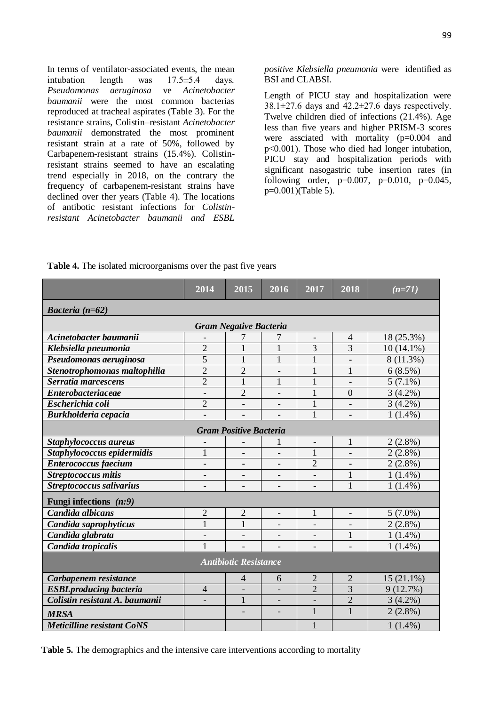In terms of ventilator-associated events, the mean intubation length was 17.5±5.4 days.<br>Pseudomonas aeruginosa ve Acinetobacter *Pseudomonas aeruginosa* ve *Acinetobacter baumanii* were the most common bacterias reproduced at tracheal aspirates (Table 3). For the resistance strains, Colistin–resistant *Acinetobacter baumanii* demonstrated the most prominent resistant strain at a rate of 50%, followed by Carbapenem-resistant strains (15.4%). Colistinresistant strains seemed to have an escalating trend especially in 2018, on the contrary the frequency of carbapenem-resistant strains have declined over ther years (Table 4). The locations of antibotic resistant infections for *Colistinresistant Acinetobacter baumanii and ESBL*  *positive Klebsiella pneumonia* were identified as BSI and CLABSI.

Length of PICU stay and hospitalization were  $38.1 \pm 27.6$  days and  $42.2 \pm 27.6$  days respectively. Twelve children died of infections (21.4%). Age less than five years and higher PRISM-3 scores were assciated with mortality (p=0.004 and p<0.001). Those who died had longer intubation, PICU stay and hospitalization periods with significant nasogastric tube insertion rates (in following order,  $p=0.007$ ,  $p=0.010$ ,  $p=0.045$ , p=0.001)(Table 5).

|                                   | 2014                     | 2015                     | 2016                     | 2017                     | 2018                     | $(n=71)$     |
|-----------------------------------|--------------------------|--------------------------|--------------------------|--------------------------|--------------------------|--------------|
| Bacteria $(n=62)$                 |                          |                          |                          |                          |                          |              |
| <b>Gram Negative Bacteria</b>     |                          |                          |                          |                          |                          |              |
| Acinetobacter baumanii            |                          |                          | 7                        | $\overline{\phantom{a}}$ | $\overline{\mathcal{A}}$ | 18 (25.3%)   |
| Klebsiella pneumonia              | $\overline{2}$           | 1                        | $\mathbf{1}$             | 3                        | 3                        | $10(14.1\%)$ |
| Pseudomonas aeruginosa            | 5                        | $\mathbf{1}$             | $\mathbf{1}$             | 1                        |                          | 8 (11.3%)    |
| Stenotrophomonas maltophilia      | $\overline{2}$           | $\overline{2}$           |                          | 1                        | 1                        | 6(8.5%)      |
| Serratia marcescens               | $\overline{2}$           | $\mathbf{1}$             | $\mathbf{1}$             | $\mathbf{1}$             |                          | $5(7.1\%)$   |
| <b>Enterobacteriaceae</b>         | $\overline{\phantom{0}}$ | $\overline{2}$           | $\overline{\phantom{a}}$ | $\mathbf{1}$             | $\theta$                 | $3(4.2\%)$   |
| Escherichia coli                  | $\overline{2}$           |                          |                          | $\mathbf{1}$             |                          | $3(4.2\%)$   |
| Burkholderia cepacia              |                          |                          |                          | $\mathbf{1}$             |                          | $1(1.4\%)$   |
| <b>Gram Positive Bacteria</b>     |                          |                          |                          |                          |                          |              |
| Staphylococcus aureus             |                          |                          | 1                        | $\overline{\phantom{a}}$ | $\mathbf{1}$             | $2(2.8\%)$   |
| Staphylococcus epidermidis        | $\mathbf{1}$             |                          |                          | $\mathbf{1}$             |                          | $2(2.8\%)$   |
| Enterococcus faecium              | $\overline{\phantom{0}}$ | $\overline{\phantom{0}}$ |                          | $\overline{2}$           |                          | $2(2.8\%)$   |
| Streptococcus mitis               | $\overline{\phantom{0}}$ |                          | $\overline{\phantom{0}}$ | $\overline{\phantom{a}}$ | 1                        | $1(1.4\%)$   |
| Streptococcus salivarius          | $\overline{a}$           | $\overline{\phantom{0}}$ | $\overline{\phantom{a}}$ | $\overline{\phantom{a}}$ | $\mathbf{1}$             | $1(1.4\%)$   |
| Fungi infections $(n:9)$          |                          |                          |                          |                          |                          |              |
| Candida albicans                  | $\overline{2}$           | $\overline{2}$           | $\overline{\phantom{a}}$ | $\mathbf{1}$             | $\overline{\phantom{0}}$ | $5(7.0\%)$   |
| Candida saprophyticus             | $\mathbf{1}$             | $\mathbf{1}$             | $\overline{\phantom{a}}$ |                          |                          | $2(2.8\%)$   |
| Candida glabrata                  | $\overline{\phantom{0}}$ |                          |                          |                          | 1                        | $1(1.4\%)$   |
| Candida tropicalis                | $\mathbf{1}$             |                          |                          |                          |                          | $1(1.4\%)$   |
| <b>Antibiotic Resistance</b>      |                          |                          |                          |                          |                          |              |
| Carbapenem resistance             |                          | $\overline{4}$           | 6                        | $\overline{2}$           | 2                        | $15(21.1\%)$ |
| <b>ESBLproducing bacteria</b>     | $\overline{4}$           | $\overline{\phantom{0}}$ | $\overline{\phantom{a}}$ | $\overline{2}$           | 3                        | 9(12.7%)     |
| Colistin resistant A. baumanii    |                          | $\mathbf{1}$             |                          |                          | $\overline{2}$           | $3(4.2\%)$   |
| <b>MRSA</b>                       |                          |                          |                          | $\mathbf{1}$             | $\mathbf{1}$             | $2(2.8\%)$   |
| <b>Meticilline resistant CoNS</b> |                          |                          |                          | $\mathbf{1}$             |                          | $1(1.4\%)$   |

**Table 4.** The isolated microorganisms over the past five years

**Table 5.** The demographics and the intensive care interventions according to mortality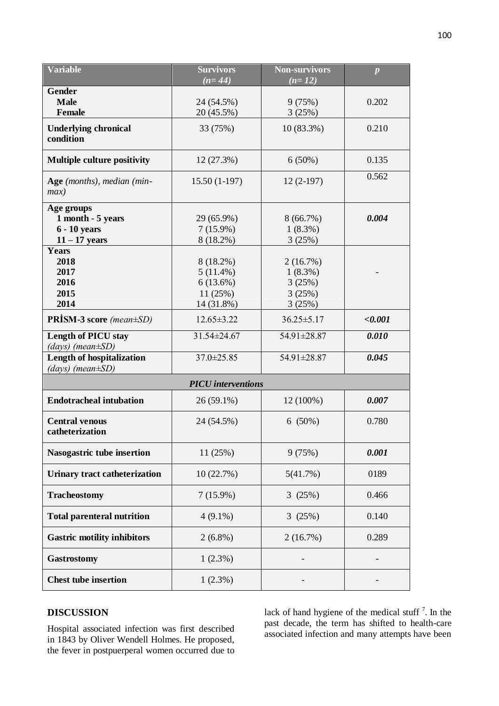| <b>Variable</b>                                                      | <b>Survivors</b><br>$(n=44)$                                  | <b>Non-survivors</b><br>$(n=12)$                     | $\boldsymbol{p}$ |  |  |  |
|----------------------------------------------------------------------|---------------------------------------------------------------|------------------------------------------------------|------------------|--|--|--|
| <b>Gender</b><br><b>Male</b><br>Female                               | 24 (54.5%)<br>20 (45.5%)                                      | 9(75%)<br>3(25%)                                     | 0.202            |  |  |  |
| <b>Underlying chronical</b><br>condition                             | 33 (75%)                                                      | $10(83.3\%)$                                         | 0.210            |  |  |  |
| <b>Multiple culture positivity</b>                                   | 12(27.3%)                                                     | 6(50%)                                               | 0.135            |  |  |  |
| Age (months), median (min-<br>max)                                   | $15.50(1-197)$                                                | $12(2-197)$                                          | 0.562            |  |  |  |
| Age groups<br>1 month - 5 years<br>$6 - 10$ years<br>$11 - 17$ years | 29 (65.9%)<br>$7(15.9\%)$<br>8 (18.2%)                        | 8(66.7%)<br>$1(8.3\%)$<br>3(25%)                     | 0.004            |  |  |  |
| Years<br>2018<br>2017<br>2016<br>2015<br>2014                        | 8 (18.2%)<br>$5(11.4\%)$<br>6(13.6%)<br>11(25%)<br>14 (31.8%) | 2(16.7%)<br>$1(8.3\%)$<br>3(25%)<br>3(25%)<br>3(25%) |                  |  |  |  |
| <b>PRISM-3 score</b> (mean±SD)                                       | $12.65 \pm 3.22$                                              | $36.25 \pm 5.17$                                     | < 0.001          |  |  |  |
| <b>Length of PICU stay</b><br>$(days)$ (mean $\pm SD$ )              | 31.54±24.67                                                   | 54.91±28.87                                          | 0.010            |  |  |  |
| <b>Length of hospitalization</b><br>$(days)$ (mean $\pm SD$ )        | $37.0 \pm 25.85$                                              | 54.91±28.87                                          | 0.045            |  |  |  |
| <b>PICU</b> interventions                                            |                                                               |                                                      |                  |  |  |  |
| <b>Endotracheal intubation</b>                                       | $26(59.1\%)$                                                  | 12 (100%)                                            | 0.007            |  |  |  |
| <b>Central venous</b><br>catheterization                             | 24 (54.5%)                                                    | $6(50\%)$                                            | 0.780            |  |  |  |
| Nasogastric tube insertion                                           | 11(25%)                                                       | 9(75%)                                               | 0.001            |  |  |  |
| <b>Urinary tract catheterization</b>                                 | 10(22.7%)                                                     | 5(41.7%)                                             | 0189             |  |  |  |
| <b>Tracheostomy</b>                                                  | $7(15.9\%)$                                                   | 3(25%)                                               | 0.466            |  |  |  |
| <b>Total parenteral nutrition</b>                                    | $4(9.1\%)$                                                    | 3(25%)                                               | 0.140            |  |  |  |
| <b>Gastric motility inhibitors</b>                                   | $2(6.8\%)$                                                    | 2(16.7%)                                             | 0.289            |  |  |  |
| <b>Gastrostomy</b>                                                   | 1(2.3%)                                                       |                                                      |                  |  |  |  |
| <b>Chest tube insertion</b>                                          | 1(2.3%)                                                       |                                                      |                  |  |  |  |

# **DISCUSSION**

Hospital associated infection was first described in 1843 by Oliver Wendell Holmes. He proposed, the fever in postpuerperal women occurred due to

lack of hand hygiene of the medical stuff  $\frac{7}{1}$ . In the past decade, the term has shifted to health-care associated infection and many attempts have been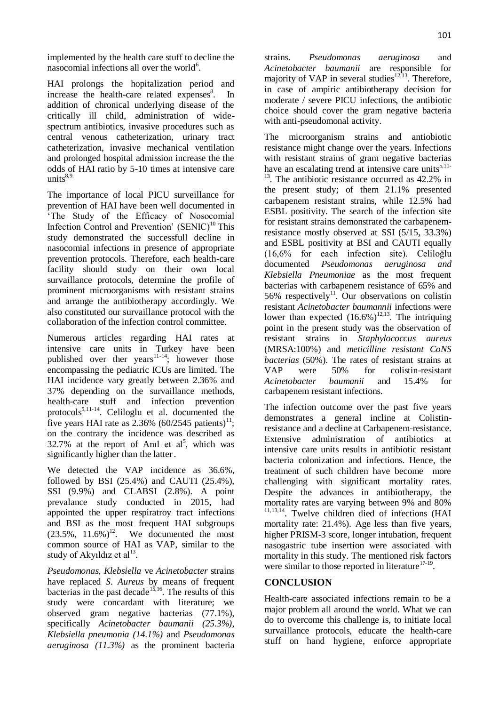implemented by the health care stuff to decline the nasocomial infections all over the world $6$ .

HAI prolongs the hopitalization period and increase the health-care related expenses<sup>8</sup>. In addition of chronical underlying disease of the critically ill child, administration of widespectrum antibiotics, invasive procedures such as central venous catheterization, urinary tract catheterization, invasive mechanical ventilation and prolonged hospital admission increase the the odds of HAI ratio by 5-10 times at intensive care  $units<sup>8,9</sup>$ .

The importance of local PICU surveillance for prevention of HAI have been well documented in "The Study of the Efficacy of Nosocomial Infection Control and Prevention'  $(SENIC)^{10}$  This study demonstrated the successfull decline in nasocomial infections in presence of appropriate prevention protocols. Therefore, each health-care facility should study on their own local survaillance protocols, determine the profile of prominent microorganisms with resistant strains and arrange the antibiotherapy accordingly. We also constituted our survaillance protocol with the collaboration of the infection control committee.

Numerous articles regarding HAI rates at intensive care units in Turkey have been published over ther years<sup>11-14</sup>; however those encompassing the pediatric ICUs are limited. The HAI incidence vary greatly between 2.36% and 37% depending on the survaillance methods, health-care stuff and infection prevention protocols<sup>5,11-14</sup>. Celiloglu et al. documented the five years HAI rate as 2.36% (60/2545 patients)<sup>11</sup>; on the contrary the incidence was described as 32.7% at the report of Anil et  $al^5$ , which was significantly higher than the latter.

We detected the VAP incidence as 36.6%, followed by BSI (25.4%) and CAUTI (25.4%), SSI (9.9%) and CLABSI (2.8%). A point prevalance study conducted in 2015, had appointed the upper respiratroy tract infections and BSI as the most frequent HAI subgroups  $(23.5\%, 11.6\%)^{12}$ . We documented the most common source of HAI as VAP, similar to the study of Akyıldız et al $^{13}$ .

*Pseudomonas, Klebsiella* ve *Acinetobacter* strains have replaced *S. Aureus* by means of frequent bacterias in the past decade<sup>15,16</sup>. The results of this study were concardant with literature; we observed gram negative bacterias (77.1%), specifically *Acinetobacter baumanii (25.3%), Klebsiella pneumonia (14.1%)* and *Pseudomonas aeruginosa (11.3%)* as the prominent bacteria strains. *Pseudomonas aeruginosa* and *Acinetobacter baumanii* are responsible for majority of VAP in several studies<sup>12,13</sup>. Therefore, in case of ampiric antibiotherapy decision for moderate / severe PICU infections, the antibiotic choice should cover the gram negative bacteria with anti-pseudomonal activity.

The microorganism strains and antiobiotic resistance might change over the years. Infections with resistant strains of gram negative bacterias have an escalating trend at intensive care units $5,11 13$ . The antibiotic resistance occurred as  $42.2\%$  in the present study; of them 21.1% presented carbapenem resistant strains, while 12.5% had ESBL positivity. The search of the infection site for resistant strains demonstrated the carbapenemresistance mostly observed at SSI (5/15, 33.3%) and ESBL positivity at BSI and CAUTI equally (16,6% for each infection site). Celiloğlu documented *Pseudomonas aeruginosa and Klebsiella Pneumoniae* as the most frequent bacterias with carbapenem resistance of 65% and 56% respectively<sup>11</sup>. Our observations on colistin resistant *Acinetobacter baumannii* infections were lower than expected  $(16.6\%)^{12,13}$ . The intriguing point in the present study was the observation of resistant strains in *Staphylococcus aureus*  (MRSA:100%) and *meticilline resistant CoNS bacterias* (50%). The rates of resistant strains at VAP were 50% for colistin-resistant *Acinetobacter baumanii* and 15.4% for carbapenem resistant infections.

The infection outcome over the past five years demonstrates a general incline at Colistinresistance and a decline at Carbapenem-resistance. Extensive administration of antibiotics at intensive care units results in antibiotic resistant bacteria colonization and infections. Hence, the treatment of such children have become more challenging with significant mortality rates. Despite the advances in antibiotherapy, the mortality rates are varying between 9% and 80% 11,13,14. Twelve children died of infections (HAI mortality rate: 21.4%). Age less than five years, higher PRISM-3 score, longer intubation, frequent nasogastric tube insertion were associated with mortality in this study. The mentioned risk factors were similar to those reported in literature<sup>17-19</sup>.

### **CONCLUSION**

Health-care associated infections remain to be a major problem all around the world. What we can do to overcome this challenge is, to initiate local survaillance protocols, educate the health-care stuff on hand hygiene, enforce appropriate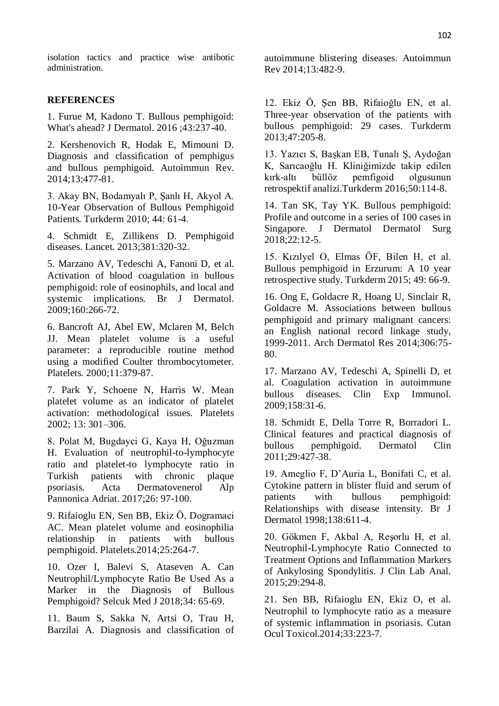isolation tactics and practice wise antibotic administration.

### **REFERENCES**

1. Furue M, Kadono T. Bullous pemphigoid: What's ahead? J Dermatol. 2016 ;43:237-40.

2. Kershenovich R, Hodak E, Mimouni D. Diagnosis and classification of pemphigus and bullous pemphigoid. Autoimmun Rev. 2014;13:477-81.

3. Akay BN, Bodamyalı P, Şanlı H, Akyol A. 10-Year Observation of Bullous Pemphigoid Patients. Turkderm 2010; 44: 61-4.

4. Schmidt E, Zillikens D. Pemphigoid diseases. Lancet. 2013;381:320-32.

5. Marzano AV, Tedeschi A, Fanoni D, et al. Activation of blood coagulation in bullous pemphigoid: role of eosinophils, and local and systemic implications. Br J Dermatol. 2009;160:266-72.

6. Bancroft AJ, Abel EW, Mclaren M, Belch JJ. Mean platelet volume is a useful parameter: a reproducible routine method using a modified Coulter thrombocytometer. Platelets. 2000;11:379-87.

7. Park Y, Schoene N, Harris W. Mean platelet volume as an indicator of platelet activation: methodological issues. Platelets 2002; 13: 301–306.

8. Polat M, Bugdayci G, Kaya H, Oğuzman H. Evaluation of neutrophil-to-lymphocyte ratio and platelet-to lymphocyte ratio in Turkish patients with chronic plaque psoriasis. Acta Dermatovenerol Alp Pannonica Adriat. 2017;26: 97-100.

9. Rifaioglu EN, Sen BB, Ekiz Ö, Dogramaci AC. Mean platelet volume and eosinophilia relationship in patients with bullous pemphigoid. Platelets.2014;25:264-7.

10. Ozer I, Balevi S, Ataseven A. Can Neutrophil/Lymphocyte Ratio Be Used As a Marker in the Diagnosis of Bullous Pemphigoid? Selcuk Med J 2018;34: 65-69.

11. Baum S, Sakka N, Artsi O, Trau H, Barzilai A. Diagnosis and classification of autoimmune blistering diseases. Autoimmun Rev 2014;13:482-9.

12. Ekiz Ö, Şen BB, Rifaioğlu EN, et al. Three-year observation of the patients with bullous pemphigoid: 29 cases. Turkderm 2013;47:205-8.

13. Yazıcı S, Başkan EB, Tunalı Ş, Aydoğan K, Sarıcaoğlu H. Kliniğimizde takip edilen kırk-altı büllöz pemfigoid olgusunun retrospektif analizi.Turkderm 2016;50:114-8.

14. Tan SK, Tay YK. Bullous pemphigoid: Profile and outcome in a series of 100 cases in Singapore. J Dermatol Dermatol Surg 2018;22:12-5.

15. Kızılyel O, Elmas ÖF, Bilen H, et al. Bullous pemphigoid in Erzurum: A 10 year retrospective study. Turkderm 2015; 49: 66-9.

16. Ong E, Goldacre R, Hoang U, Sinclair R, Goldacre M. Associations between bullous pemphigoid and primary malignant cancers: an English national record linkage study, 1999-2011. Arch Dermatol Res 2014;306:75- 80.

17. Marzano AV, Tedeschi A, Spinelli D, et al. Coagulation activation in autoimmune bullous diseases. Clin Exp Immunol. 2009;158:31-6.

18. Schmidt E, Della Torre R, Borradori L. Clinical features and practical diagnosis of bullous pemphigoid. Dermatol Clin 2011;29:427-38.

19. Ameglio F, D"Auria L, Bonifati C, et al. Cytokine pattern in blister fluid and serum of patients with bullous pemphigoid: Relationships with disease intensity. Br J Dermatol 1998;138:611-4.

20. Gökmen F, Akbal A, Reşorlu H, et al. Neutrophil-Lymphocyte Ratio Connected to Treatment Options and Inflammation Markers of Ankylosing Spondylitis. J Clin Lab Anal. 2015;29:294-8.

21. Sen BB, Rifaioglu EN, Ekiz O, et al. Neutrophil to lymphocyte ratio as a measure of systemic inflammation in psoriasis. Cutan Ocul Toxicol.2014;33:223-7.